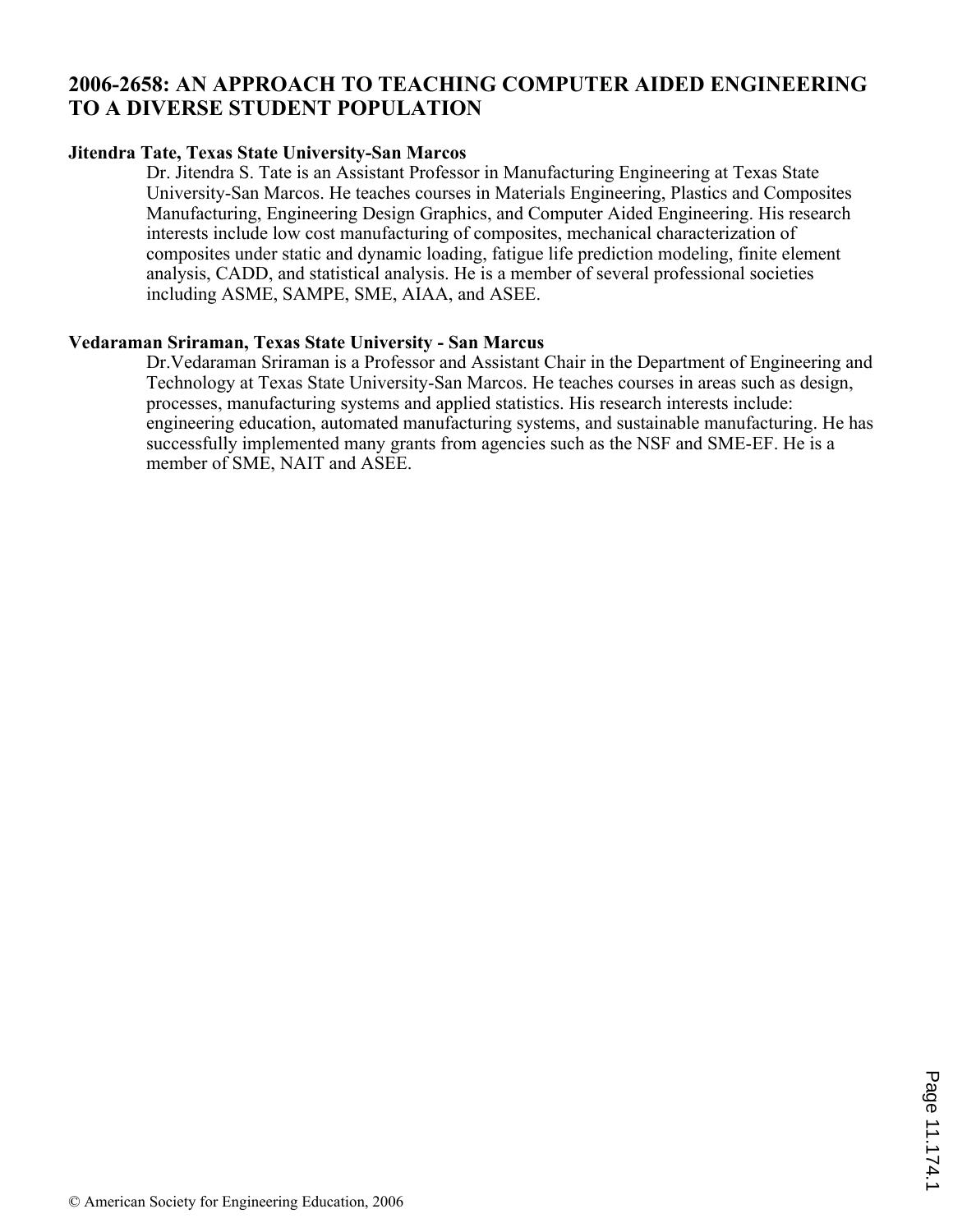# **2006-2658: AN APPROACH TO TEACHING COMPUTER AIDED ENGINEERING TO A DIVERSE STUDENT POPULATION**

#### **Jitendra Tate, Texas State University-San Marcos**

Dr. Jitendra S. Tate is an Assistant Professor in Manufacturing Engineering at Texas State University-San Marcos. He teaches courses in Materials Engineering, Plastics and Composites Manufacturing, Engineering Design Graphics, and Computer Aided Engineering. His research interests include low cost manufacturing of composites, mechanical characterization of composites under static and dynamic loading, fatigue life prediction modeling, finite element analysis, CADD, and statistical analysis. He is a member of several professional societies including ASME, SAMPE, SME, AIAA, and ASEE.

#### **Vedaraman Sriraman, Texas State University - San Marcus**

Dr.Vedaraman Sriraman is a Professor and Assistant Chair in the Department of Engineering and Technology at Texas State University-San Marcos. He teaches courses in areas such as design, processes, manufacturing systems and applied statistics. His research interests include: engineering education, automated manufacturing systems, and sustainable manufacturing. He has successfully implemented many grants from agencies such as the NSF and SME-EF. He is a member of SME, NAIT and ASEE.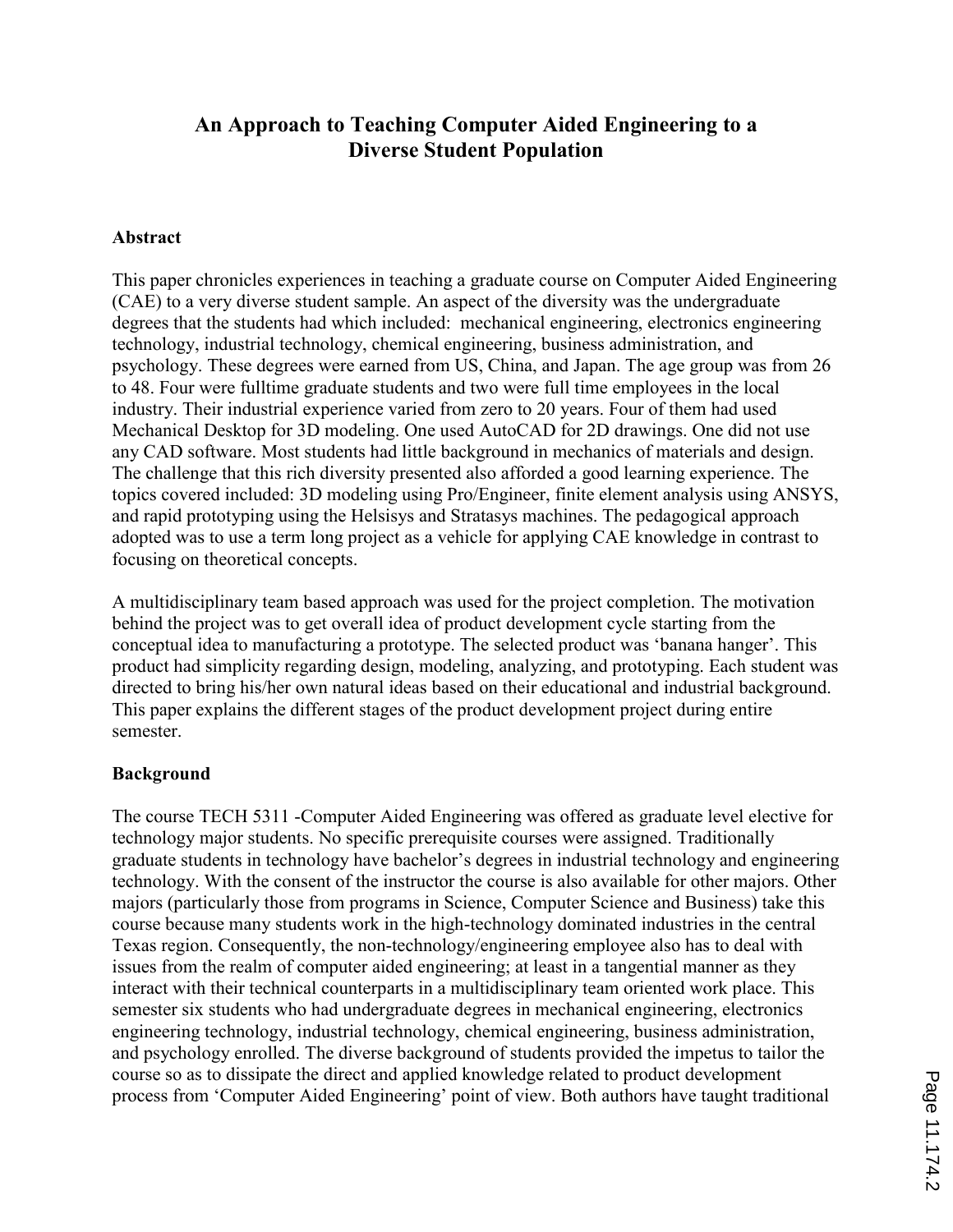# An Approach to Teaching Computer Aided Engineering to a Diverse Student Population

#### Abstract

This paper chronicles experiences in teaching a graduate course on Computer Aided Engineering (CAE) to a very diverse student sample. An aspect of the diversity was the undergraduate degrees that the students had which included: mechanical engineering, electronics engineering technology, industrial technology, chemical engineering, business administration, and psychology. These degrees were earned from US, China, and Japan. The age group was from 26 to 48. Four were fulltime graduate students and two were full time employees in the local industry. Their industrial experience varied from zero to 20 years. Four of them had used Mechanical Desktop for 3D modeling. One used AutoCAD for 2D drawings. One did not use any CAD software. Most students had little background in mechanics of materials and design. The challenge that this rich diversity presented also afforded a good learning experience. The topics covered included: 3D modeling using Pro/Engineer, finite element analysis using ANSYS, and rapid prototyping using the Helsisys and Stratasys machines. The pedagogical approach adopted was to use a term long project as a vehicle for applying CAE knowledge in contrast to focusing on theoretical concepts.

A multidisciplinary team based approach was used for the project completion. The motivation behind the project was to get overall idea of product development cycle starting from the conceptual idea to manufacturing a prototype. The selected product was 'banana hanger'. This product had simplicity regarding design, modeling, analyzing, and prototyping. Each student was directed to bring his/her own natural ideas based on their educational and industrial background. This paper explains the different stages of the product development project during entire semester.

### Background

The course TECH 5311 -Computer Aided Engineering was offered as graduate level elective for technology major students. No specific prerequisite courses were assigned. Traditionally graduate students in technology have bachelor's degrees in industrial technology and engineering technology. With the consent of the instructor the course is also available for other majors. Other majors (particularly those from programs in Science, Computer Science and Business) take this course because many students work in the high-technology dominated industries in the central Texas region. Consequently, the non-technology/engineering employee also has to deal with issues from the realm of computer aided engineering; at least in a tangential manner as they interact with their technical counterparts in a multidisciplinary team oriented work place. This semester six students who had undergraduate degrees in mechanical engineering, electronics engineering technology, industrial technology, chemical engineering, business administration, and psychology enrolled. The diverse background of students provided the impetus to tailor the course so as to dissipate the direct and applied knowledge related to product development process from 'Computer Aided Engineering' point of view. Both authors have taught traditional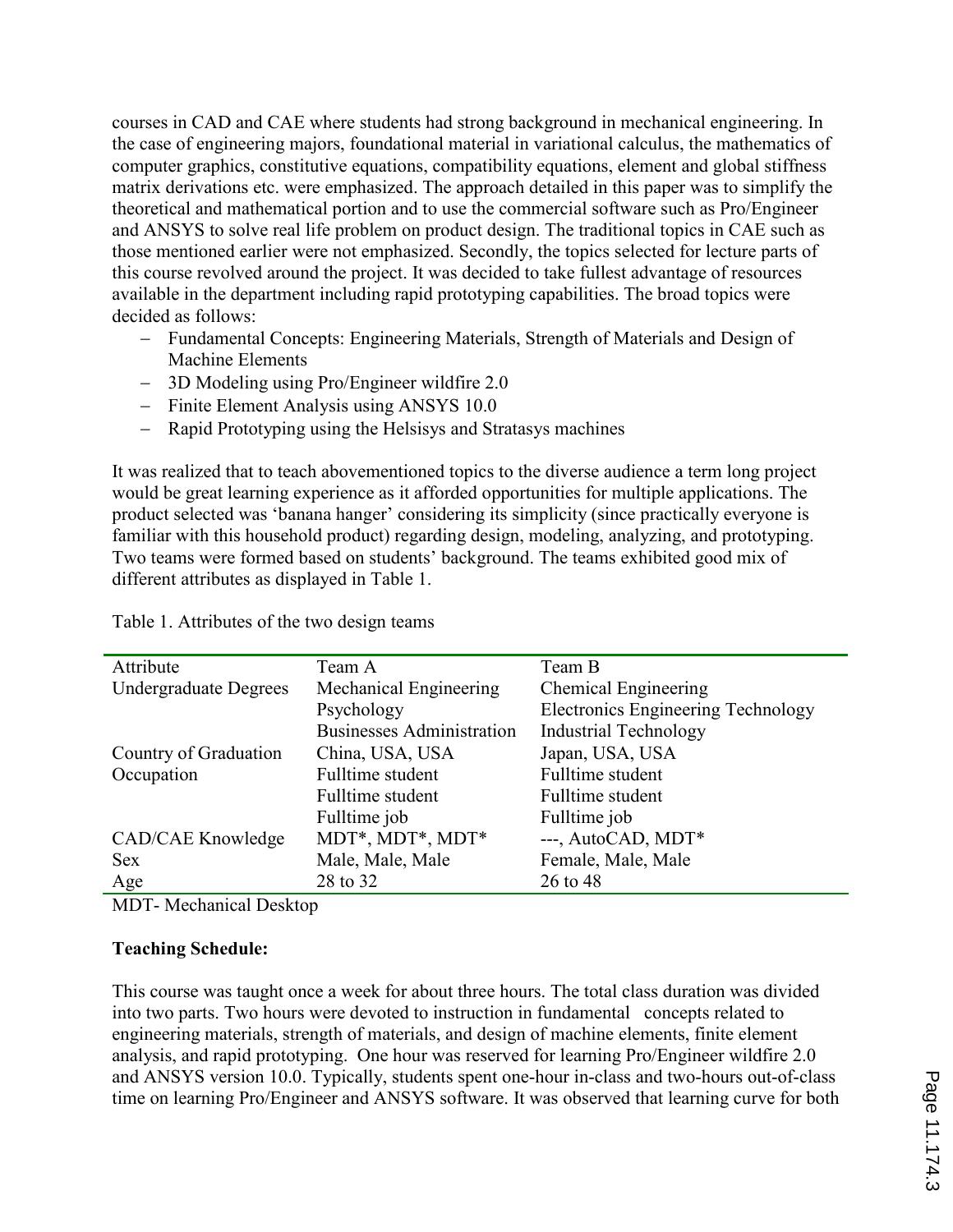courses in CAD and CAE where students had strong background in mechanical engineering. In the case of engineering majors, foundational material in variational calculus, the mathematics of computer graphics, constitutive equations, compatibility equations, element and global stiffness matrix derivations etc. were emphasized. The approach detailed in this paper was to simplify the theoretical and mathematical portion and to use the commercial software such as Pro/Engineer and ANSYS to solve real life problem on product design. The traditional topics in CAE such as those mentioned earlier were not emphasized. Secondly, the topics selected for lecture parts of this course revolved around the project. It was decided to take fullest advantage of resources available in the department including rapid prototyping capabilities. The broad topics were decided as follows:

- − Fundamental Concepts: Engineering Materials, Strength of Materials and Design of Machine Elements
- − 3D Modeling using Pro/Engineer wildfire 2.0
- − Finite Element Analysis using ANSYS 10.0
- − Rapid Prototyping using the Helsisys and Stratasys machines

It was realized that to teach abovementioned topics to the diverse audience a term long project would be great learning experience as it afforded opportunities for multiple applications. The product selected was 'banana hanger' considering its simplicity (since practically everyone is familiar with this household product) regarding design, modeling, analyzing, and prototyping. Two teams were formed based on students' background. The teams exhibited good mix of different attributes as displayed in Table 1.

| Attribute             | Team A                           | Team B                                    |
|-----------------------|----------------------------------|-------------------------------------------|
| Undergraduate Degrees | Mechanical Engineering           | Chemical Engineering                      |
|                       | Psychology                       | <b>Electronics Engineering Technology</b> |
|                       | <b>Businesses Administration</b> | <b>Industrial Technology</b>              |
| Country of Graduation | China, USA, USA                  | Japan, USA, USA                           |
| Occupation            | Fulltime student                 | Fulltime student                          |
|                       | Fulltime student                 | Fulltime student                          |
|                       | Fulltime job                     | Fulltime job                              |
| CAD/CAE Knowledge     | MDT*, MDT*, MDT*                 | ---, AutoCAD, MDT*                        |
| <b>Sex</b>            | Male, Male, Male                 | Female, Male, Male                        |
| Age                   | 28 to 32                         | 26 to 48                                  |
|                       |                                  |                                           |

Table 1. Attributes of the two design teams

MDT- Mechanical Desktop

### Teaching Schedule:

This course was taught once a week for about three hours. The total class duration was divided into two parts. Two hours were devoted to instruction in fundamental concepts related to engineering materials, strength of materials, and design of machine elements, finite element analysis, and rapid prototyping. One hour was reserved for learning Pro/Engineer wildfire 2.0 and ANSYS version 10.0. Typically, students spent one-hour in-class and two-hours out-of-class time on learning Pro/Engineer and ANSYS software. It was observed that learning curve for both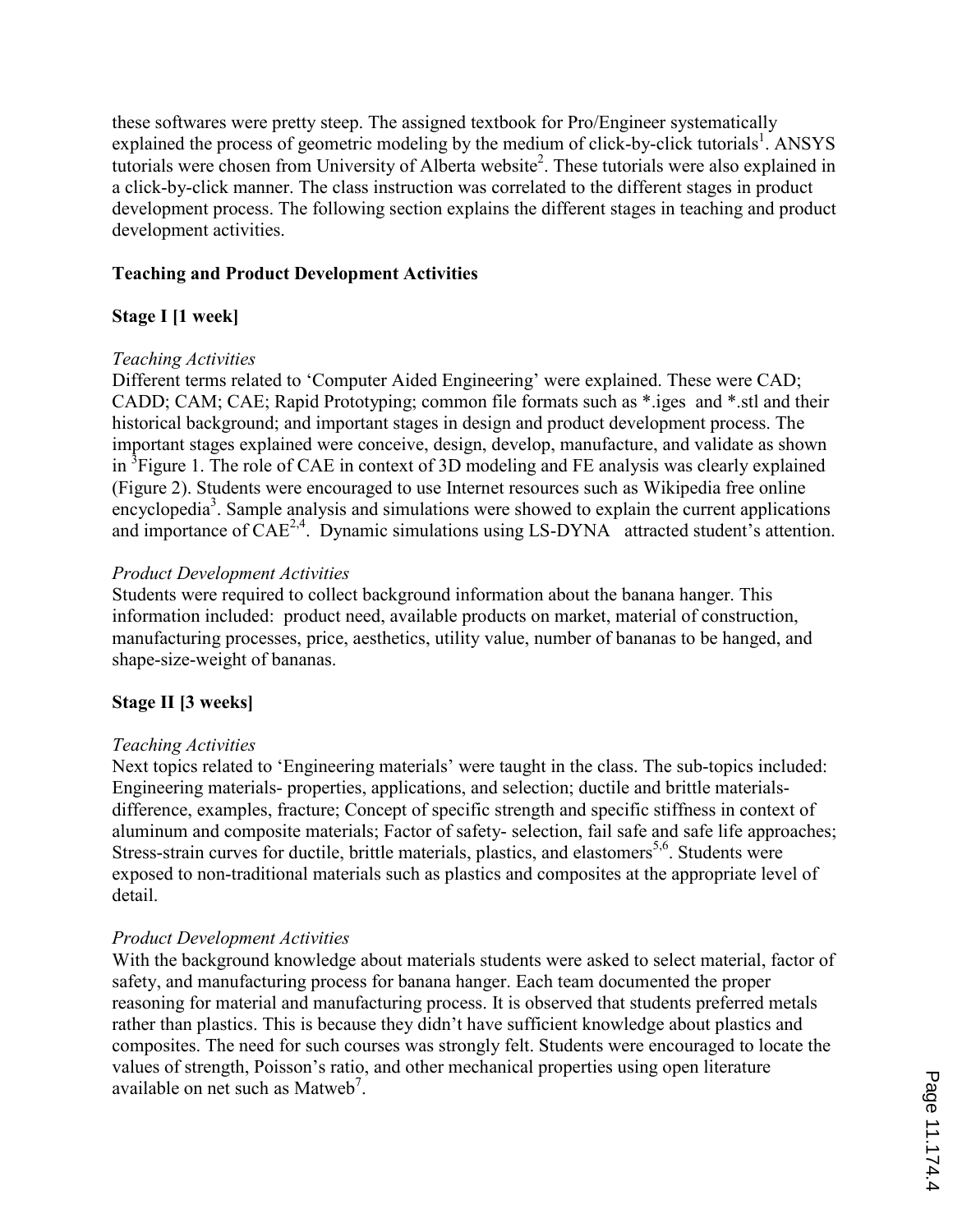these softwares were pretty steep. The assigned textbook for Pro/Engineer systematically explained the process of geometric modeling by the medium of click-by-click tutorials<sup>1</sup>. ANSYS tutorials were chosen from University of Alberta website<sup>2</sup>. These tutorials were also explained in a click-by-click manner. The class instruction was correlated to the different stages in product development process. The following section explains the different stages in teaching and product development activities.

#### Teaching and Product Development Activities

### Stage I [1 week]

#### Teaching Activities

Different terms related to 'Computer Aided Engineering' were explained. These were CAD; CADD; CAM; CAE; Rapid Prototyping; common file formats such as \*.iges and \*.stl and their historical background; and important stages in design and product development process. The important stages explained were conceive, design, develop, manufacture, and validate as shown in <sup>3</sup>Figure 1. The role of CAE in context of 3D modeling and FE analysis was clearly explained (Figure 2). Students were encouraged to use Internet resources such as Wikipedia free online encyclopedia<sup>3</sup>. Sample analysis and simulations were showed to explain the current applications and importance of  $CAE^{2,4}$ . Dynamic simulations using LS-DYNA attracted student's attention.

#### Product Development Activities

Students were required to collect background information about the banana hanger. This information included: product need, available products on market, material of construction, manufacturing processes, price, aesthetics, utility value, number of bananas to be hanged, and shape-size-weight of bananas.

### Stage II [3 weeks]

### Teaching Activities

Next topics related to 'Engineering materials' were taught in the class. The sub-topics included: Engineering materials- properties, applications, and selection; ductile and brittle materialsdifference, examples, fracture; Concept of specific strength and specific stiffness in context of aluminum and composite materials; Factor of safety- selection, fail safe and safe life approaches; Stress-strain curves for ductile, brittle materials, plastics, and elastomers<sup>5,6</sup>. Students were exposed to non-traditional materials such as plastics and composites at the appropriate level of detail.

### Product Development Activities

With the background knowledge about materials students were asked to select material, factor of safety, and manufacturing process for banana hanger. Each team documented the proper reasoning for material and manufacturing process. It is observed that students preferred metals rather than plastics. This is because they didn't have sufficient knowledge about plastics and composites. The need for such courses was strongly felt. Students were encouraged to locate the values of strength, Poisson's ratio, and other mechanical properties using open literature available on net such as Matweb<sup>7</sup>.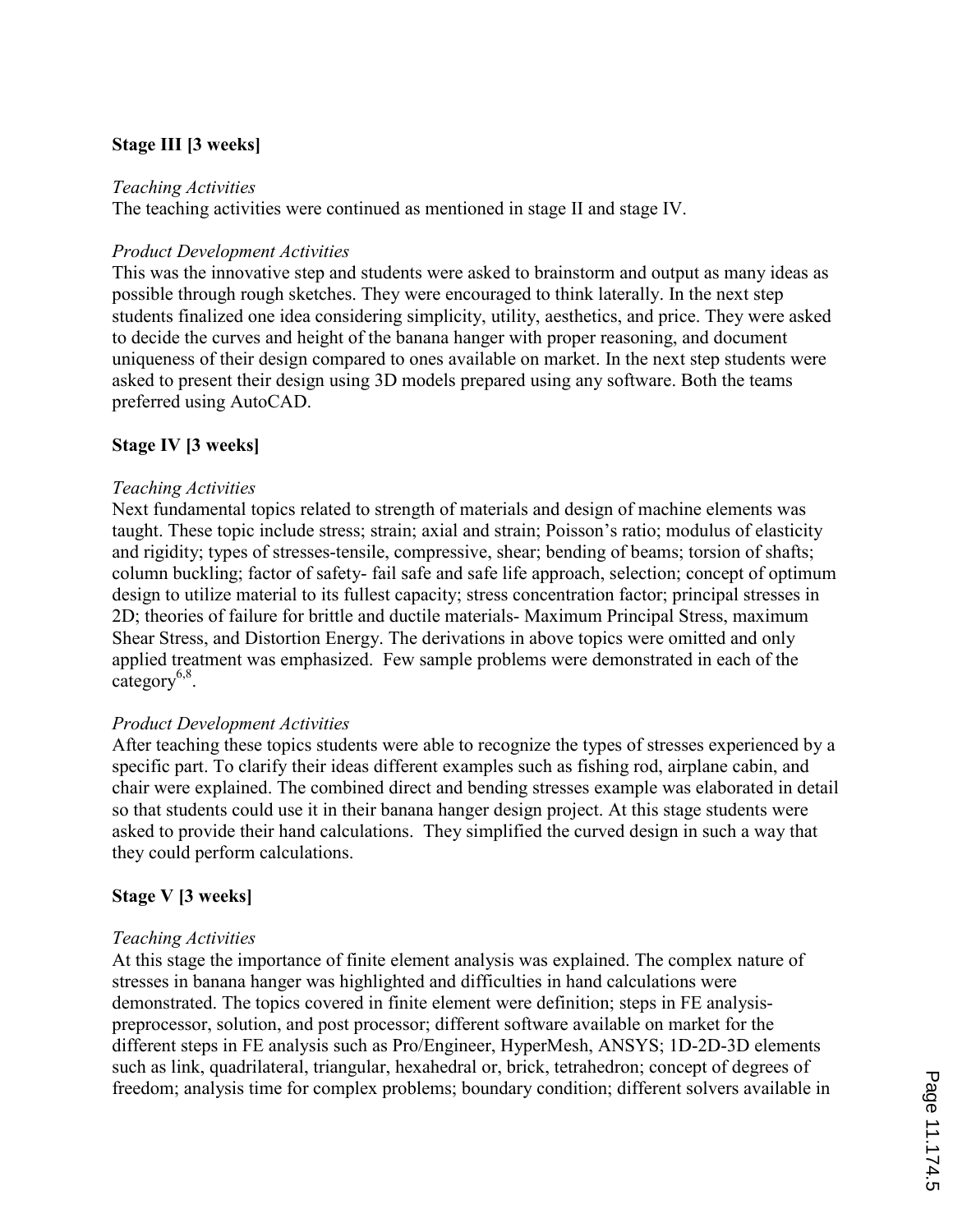# Stage III [3 weeks]

#### Teaching Activities

The teaching activities were continued as mentioned in stage II and stage IV.

#### Product Development Activities

This was the innovative step and students were asked to brainstorm and output as many ideas as possible through rough sketches. They were encouraged to think laterally. In the next step students finalized one idea considering simplicity, utility, aesthetics, and price. They were asked to decide the curves and height of the banana hanger with proper reasoning, and document uniqueness of their design compared to ones available on market. In the next step students were asked to present their design using 3D models prepared using any software. Both the teams preferred using AutoCAD.

#### Stage IV [3 weeks]

#### Teaching Activities

Next fundamental topics related to strength of materials and design of machine elements was taught. These topic include stress; strain; axial and strain; Poisson's ratio; modulus of elasticity and rigidity; types of stresses-tensile, compressive, shear; bending of beams; torsion of shafts; column buckling; factor of safety- fail safe and safe life approach, selection; concept of optimum design to utilize material to its fullest capacity; stress concentration factor; principal stresses in 2D; theories of failure for brittle and ductile materials- Maximum Principal Stress, maximum Shear Stress, and Distortion Energy. The derivations in above topics were omitted and only applied treatment was emphasized. Few sample problems were demonstrated in each of the  $category<sup>6,8</sup>$ .

### Product Development Activities

After teaching these topics students were able to recognize the types of stresses experienced by a specific part. To clarify their ideas different examples such as fishing rod, airplane cabin, and chair were explained. The combined direct and bending stresses example was elaborated in detail so that students could use it in their banana hanger design project. At this stage students were asked to provide their hand calculations. They simplified the curved design in such a way that they could perform calculations.

### Stage V [3 weeks]

#### Teaching Activities

At this stage the importance of finite element analysis was explained. The complex nature of stresses in banana hanger was highlighted and difficulties in hand calculations were demonstrated. The topics covered in finite element were definition; steps in FE analysispreprocessor, solution, and post processor; different software available on market for the different steps in FE analysis such as Pro/Engineer, HyperMesh, ANSYS; 1D-2D-3D elements such as link, quadrilateral, triangular, hexahedral or, brick, tetrahedron; concept of degrees of freedom; analysis time for complex problems; boundary condition; different solvers available in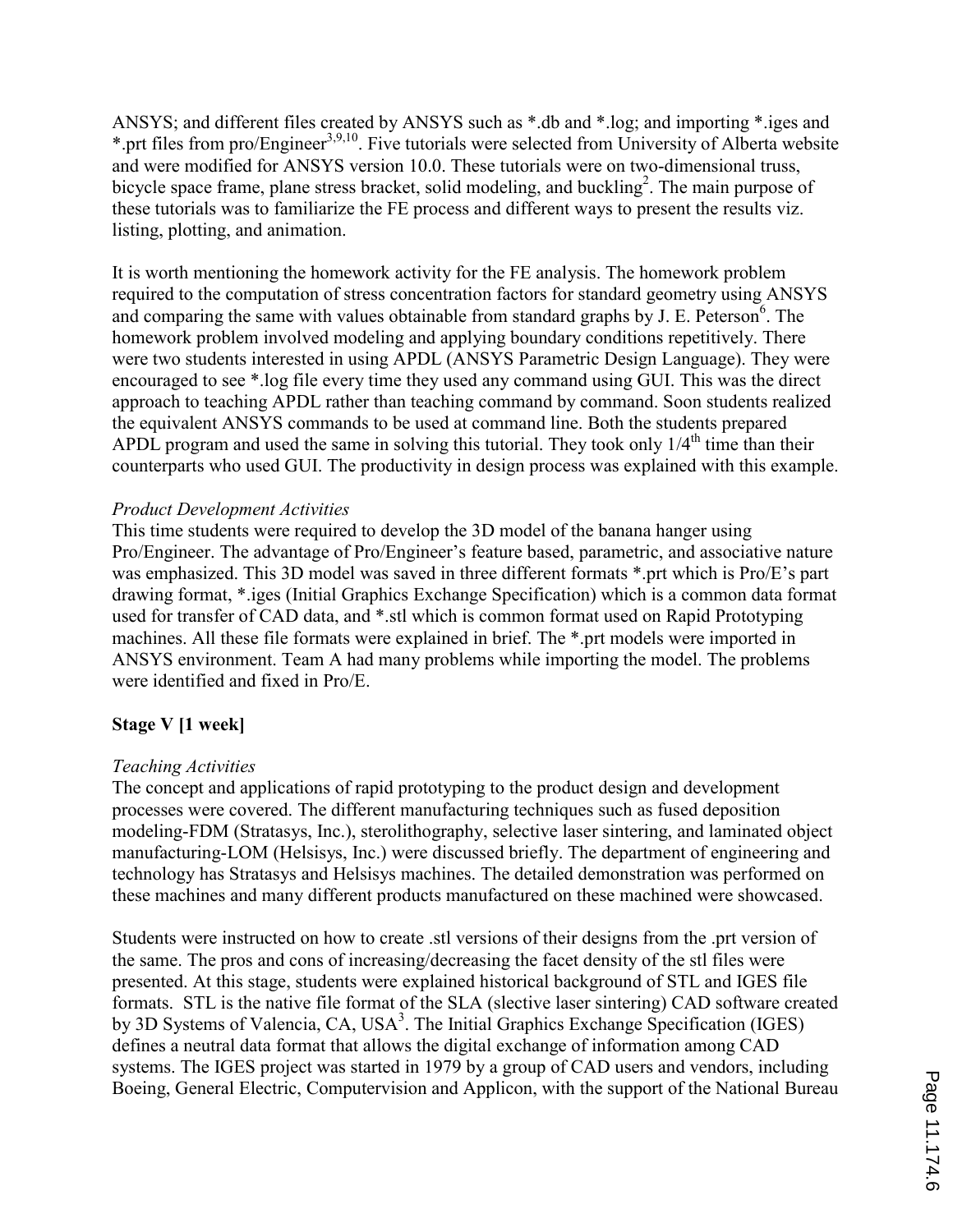ANSYS; and different files created by ANSYS such as \*.db and \*.log; and importing \*.iges and \*.prt files from pro/Engineer<sup>3,9,10</sup>. Five tutorials were selected from University of Alberta website and were modified for ANSYS version 10.0. These tutorials were on two-dimensional truss, bicycle space frame, plane stress bracket, solid modeling, and buckling<sup>2</sup>. The main purpose of these tutorials was to familiarize the FE process and different ways to present the results viz. listing, plotting, and animation.

It is worth mentioning the homework activity for the FE analysis. The homework problem required to the computation of stress concentration factors for standard geometry using ANSYS and comparing the same with values obtainable from standard graphs by J. E. Peterson<sup>6</sup>. The homework problem involved modeling and applying boundary conditions repetitively. There were two students interested in using APDL (ANSYS Parametric Design Language). They were encouraged to see \*.log file every time they used any command using GUI. This was the direct approach to teaching APDL rather than teaching command by command. Soon students realized the equivalent ANSYS commands to be used at command line. Both the students prepared APDL program and used the same in solving this tutorial. They took only  $1/4<sup>th</sup>$  time than their counterparts who used GUI. The productivity in design process was explained with this example.

### Product Development Activities

This time students were required to develop the 3D model of the banana hanger using Pro/Engineer. The advantage of Pro/Engineer's feature based, parametric, and associative nature was emphasized. This 3D model was saved in three different formats \*.prt which is Pro/E's part drawing format, \*.iges (Initial Graphics Exchange Specification) which is a common data format used for transfer of CAD data, and \*.stl which is common format used on Rapid Prototyping machines. All these file formats were explained in brief. The \*.prt models were imported in ANSYS environment. Team A had many problems while importing the model. The problems were identified and fixed in Pro/E.

### Stage V [1 week]

### Teaching Activities

The concept and applications of rapid prototyping to the product design and development processes were covered. The different manufacturing techniques such as fused deposition modeling-FDM (Stratasys, Inc.), sterolithography, selective laser sintering, and laminated object manufacturing-LOM (Helsisys, Inc.) were discussed briefly. The department of engineering and technology has Stratasys and Helsisys machines. The detailed demonstration was performed on these machines and many different products manufactured on these machined were showcased.

Students were instructed on how to create .stl versions of their designs from the .prt version of the same. The pros and cons of increasing/decreasing the facet density of the stl files were presented. At this stage, students were explained historical background of STL and IGES file formats. STL is the native file format of the SLA (slective laser sintering) CAD software created by 3D Systems of Valencia, CA, USA<sup>3</sup>. The Initial Graphics Exchange Specification (IGES) defines a neutral data format that allows the digital exchange of information among CAD systems. The IGES project was started in 1979 by a group of CAD users and vendors, including Boeing, General Electric, Computervision and Applicon, with the support of the National Bureau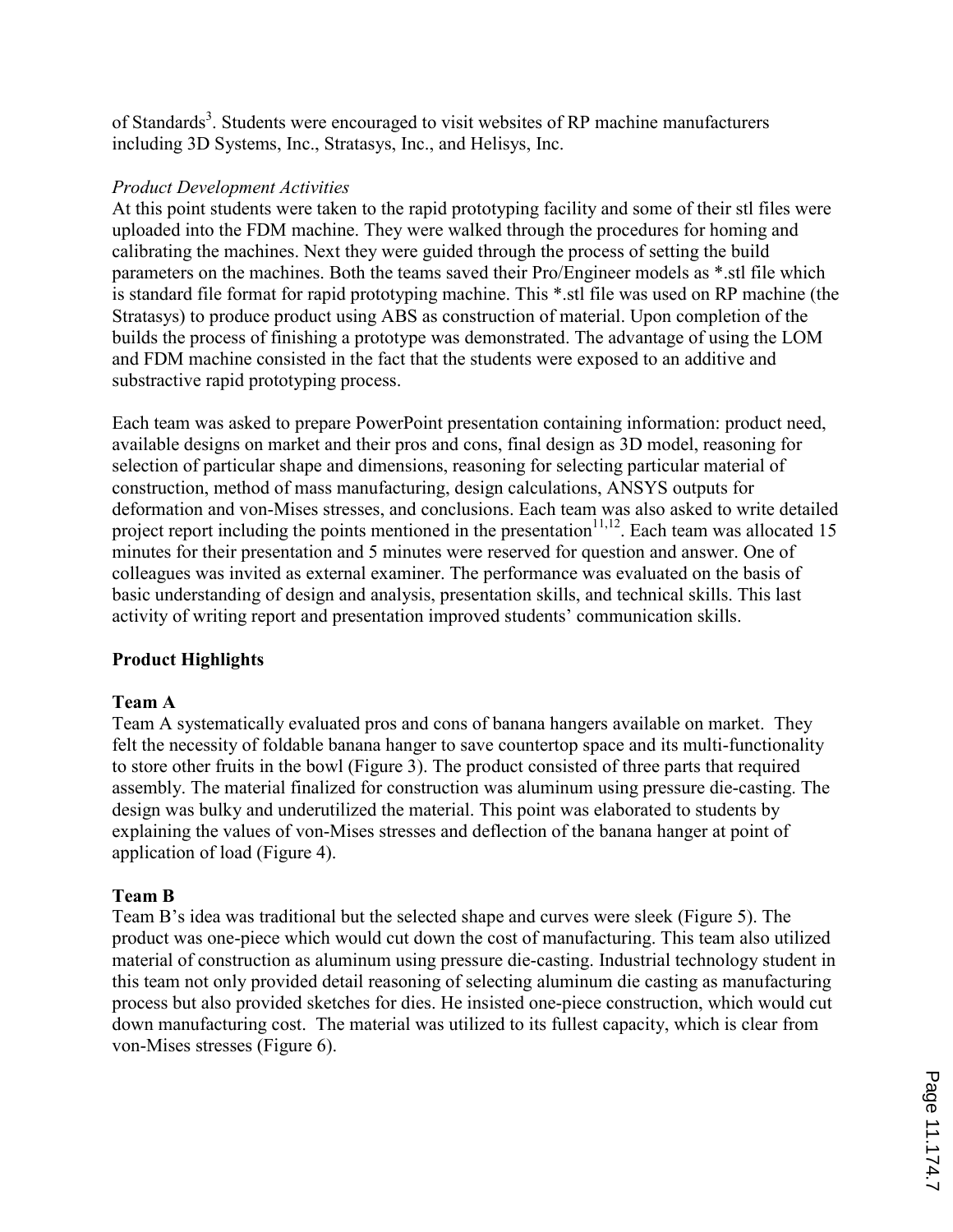of Standards<sup>3</sup>. Students were encouraged to visit websites of RP machine manufacturers including 3D Systems, Inc., Stratasys, Inc., and Helisys, Inc.

#### Product Development Activities

At this point students were taken to the rapid prototyping facility and some of their stl files were uploaded into the FDM machine. They were walked through the procedures for homing and calibrating the machines. Next they were guided through the process of setting the build parameters on the machines. Both the teams saved their Pro/Engineer models as \*.stl file which is standard file format for rapid prototyping machine. This \*.stl file was used on RP machine (the Stratasys) to produce product using ABS as construction of material. Upon completion of the builds the process of finishing a prototype was demonstrated. The advantage of using the LOM and FDM machine consisted in the fact that the students were exposed to an additive and substractive rapid prototyping process.

Each team was asked to prepare PowerPoint presentation containing information: product need, available designs on market and their pros and cons, final design as 3D model, reasoning for selection of particular shape and dimensions, reasoning for selecting particular material of construction, method of mass manufacturing, design calculations, ANSYS outputs for deformation and von-Mises stresses, and conclusions. Each team was also asked to write detailed project report including the points mentioned in the presentation $11,12$ . Each team was allocated 15 minutes for their presentation and 5 minutes were reserved for question and answer. One of colleagues was invited as external examiner. The performance was evaluated on the basis of basic understanding of design and analysis, presentation skills, and technical skills. This last activity of writing report and presentation improved students' communication skills.

# Product Highlights

### Team A

Team A systematically evaluated pros and cons of banana hangers available on market. They felt the necessity of foldable banana hanger to save countertop space and its multi-functionality to store other fruits in the bowl (Figure 3). The product consisted of three parts that required assembly. The material finalized for construction was aluminum using pressure die-casting. The design was bulky and underutilized the material. This point was elaborated to students by explaining the values of von-Mises stresses and deflection of the banana hanger at point of application of load (Figure 4).

### Team B

Team B's idea was traditional but the selected shape and curves were sleek (Figure 5). The product was one-piece which would cut down the cost of manufacturing. This team also utilized material of construction as aluminum using pressure die-casting. Industrial technology student in this team not only provided detail reasoning of selecting aluminum die casting as manufacturing process but also provided sketches for dies. He insisted one-piece construction, which would cut down manufacturing cost. The material was utilized to its fullest capacity, which is clear from von-Mises stresses (Figure 6).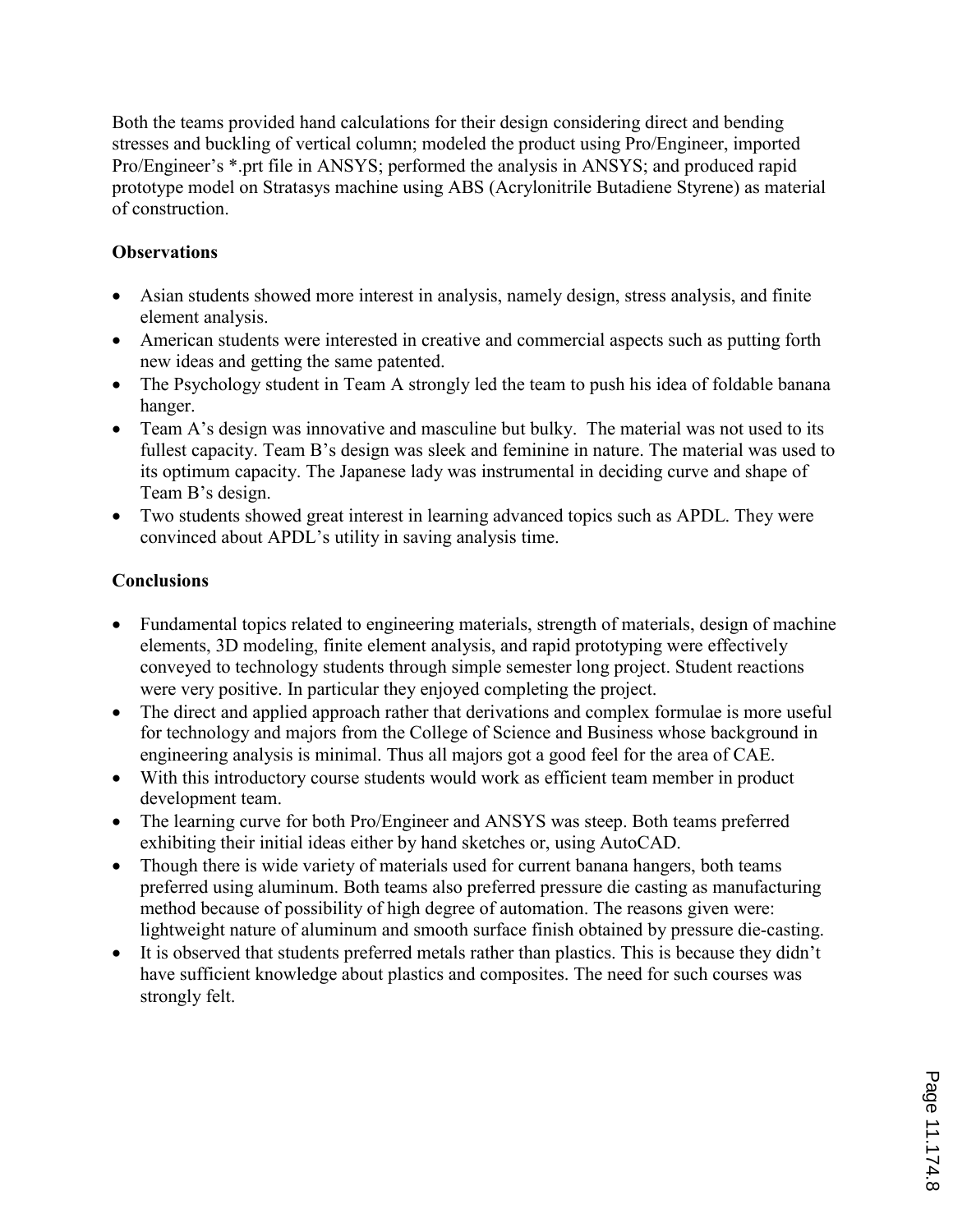Both the teams provided hand calculations for their design considering direct and bending stresses and buckling of vertical column; modeled the product using Pro/Engineer, imported Pro/Engineer's \*.prt file in ANSYS; performed the analysis in ANSYS; and produced rapid prototype model on Stratasys machine using ABS (Acrylonitrile Butadiene Styrene) as material of construction.

# **Observations**

- Asian students showed more interest in analysis, namely design, stress analysis, and finite element analysis.
- American students were interested in creative and commercial aspects such as putting forth new ideas and getting the same patented.
- The Psychology student in Team A strongly led the team to push his idea of foldable banana hanger.
- Team A's design was innovative and masculine but bulky. The material was not used to its fullest capacity. Team B's design was sleek and feminine in nature. The material was used to its optimum capacity. The Japanese lady was instrumental in deciding curve and shape of Team B's design.
- Two students showed great interest in learning advanced topics such as APDL. They were convinced about APDL's utility in saving analysis time.

# **Conclusions**

- Fundamental topics related to engineering materials, strength of materials, design of machine elements, 3D modeling, finite element analysis, and rapid prototyping were effectively conveyed to technology students through simple semester long project. Student reactions were very positive. In particular they enjoyed completing the project.
- The direct and applied approach rather that derivations and complex formulae is more useful for technology and majors from the College of Science and Business whose background in engineering analysis is minimal. Thus all majors got a good feel for the area of CAE.
- With this introductory course students would work as efficient team member in product development team.
- The learning curve for both Pro/Engineer and ANSYS was steep. Both teams preferred exhibiting their initial ideas either by hand sketches or, using AutoCAD.
- Though there is wide variety of materials used for current banana hangers, both teams preferred using aluminum. Both teams also preferred pressure die casting as manufacturing method because of possibility of high degree of automation. The reasons given were: lightweight nature of aluminum and smooth surface finish obtained by pressure die-casting.
- It is observed that students preferred metals rather than plastics. This is because they didn't have sufficient knowledge about plastics and composites. The need for such courses was strongly felt.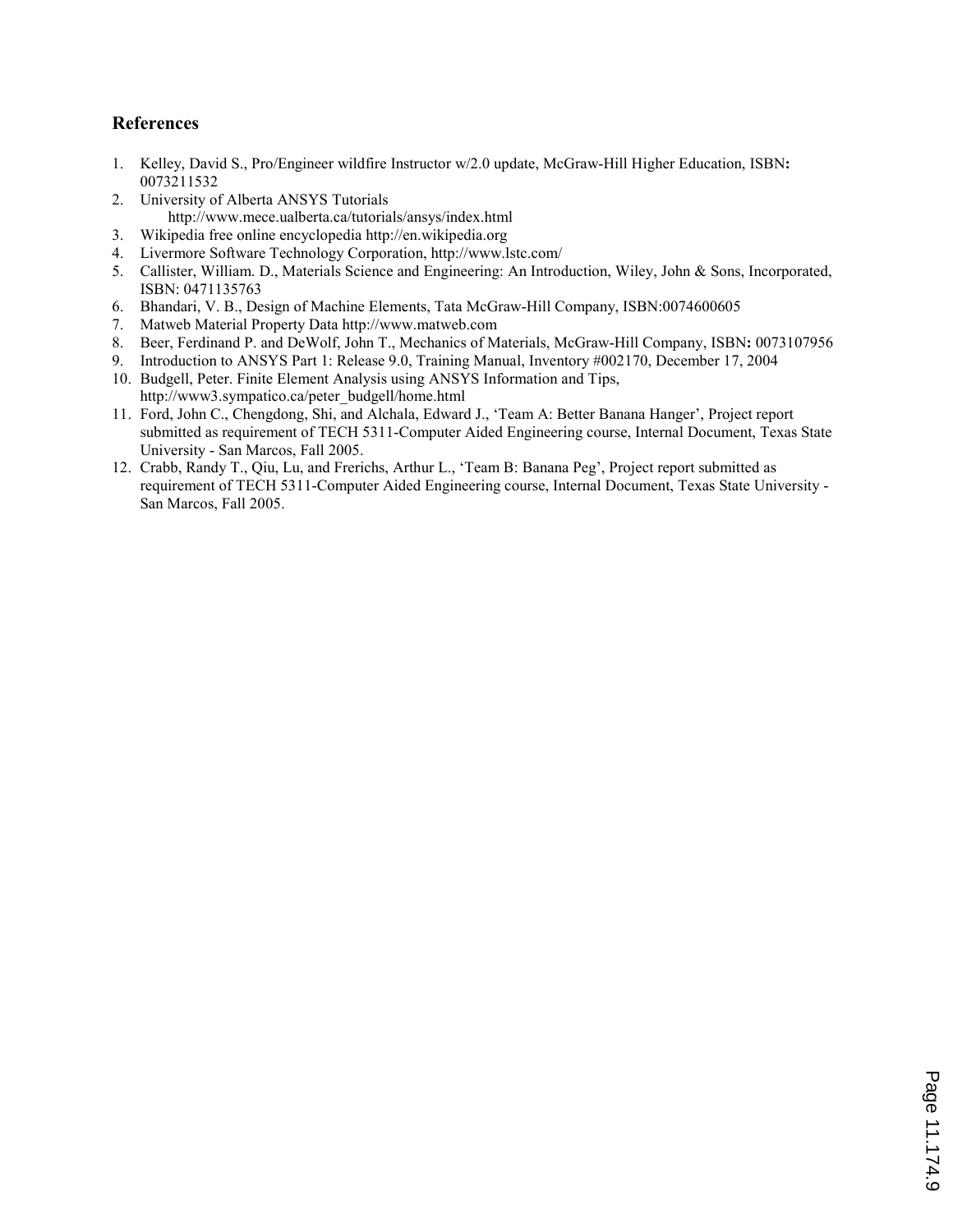#### References

- 1. Kelley, David S., Pro/Engineer wildfire Instructor w/2.0 update, McGraw-Hill Higher Education, ISBN: 0073211532
- 2. University of Alberta ANSYS Tutorials http://www.mece.ualberta.ca/tutorials/ansys/index.html
- 3. Wikipedia free online encyclopedia http://en.wikipedia.org
- 4. Livermore Software Technology Corporation, http://www.lstc.com/
- 5. Callister, William. D., Materials Science and Engineering: An Introduction, Wiley, John & Sons, Incorporated, ISBN: 0471135763
- 6. Bhandari, V. B., Design of Machine Elements, Tata McGraw-Hill Company, ISBN:0074600605
- 7. Matweb Material Property Data http://www.matweb.com
- 8. Beer, Ferdinand P. and DeWolf, John T., Mechanics of Materials, McGraw-Hill Company, ISBN: 0073107956
- 9. Introduction to ANSYS Part 1: Release 9.0, Training Manual, Inventory #002170, December 17, 2004 10. Budgell, Peter. Finite Element Analysis using ANSYS Information and Tips,
- http://www3.sympatico.ca/peter\_budgell/home.html 11. Ford, John C., Chengdong, Shi, and Alchala, Edward J., 'Team A: Better Banana Hanger', Project report submitted as requirement of TECH 5311-Computer Aided Engineering course, Internal Document, Texas State University - San Marcos, Fall 2005.
- 12. Crabb, Randy T., Qiu, Lu, and Frerichs, Arthur L., 'Team B: Banana Peg', Project report submitted as requirement of TECH 5311-Computer Aided Engineering course, Internal Document, Texas State University - San Marcos, Fall 2005.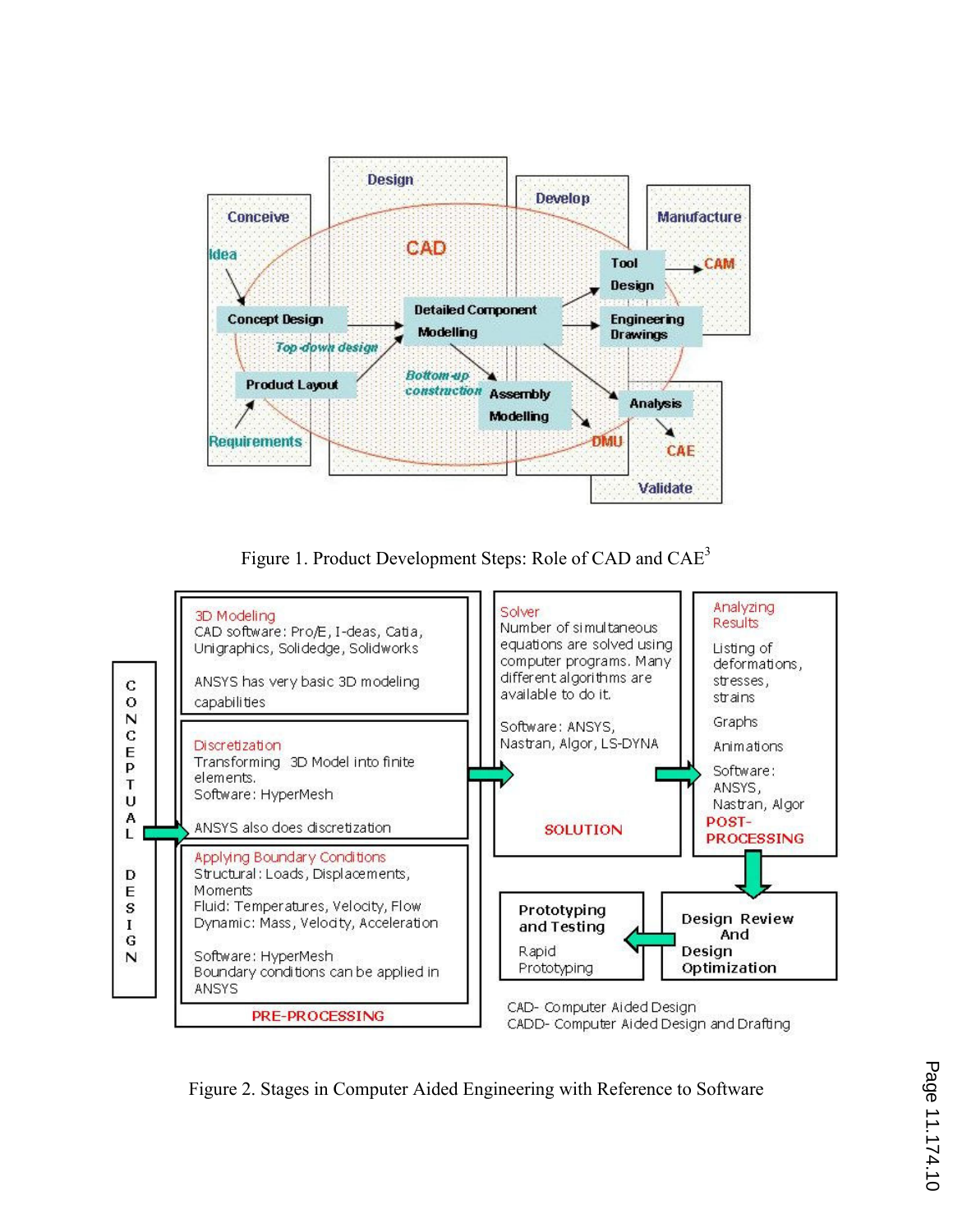

Figure 1. Product Development Steps: Role of CAD and CAE<sup>3</sup>



Figure 2. Stages in Computer Aided Engineering with Reference to Software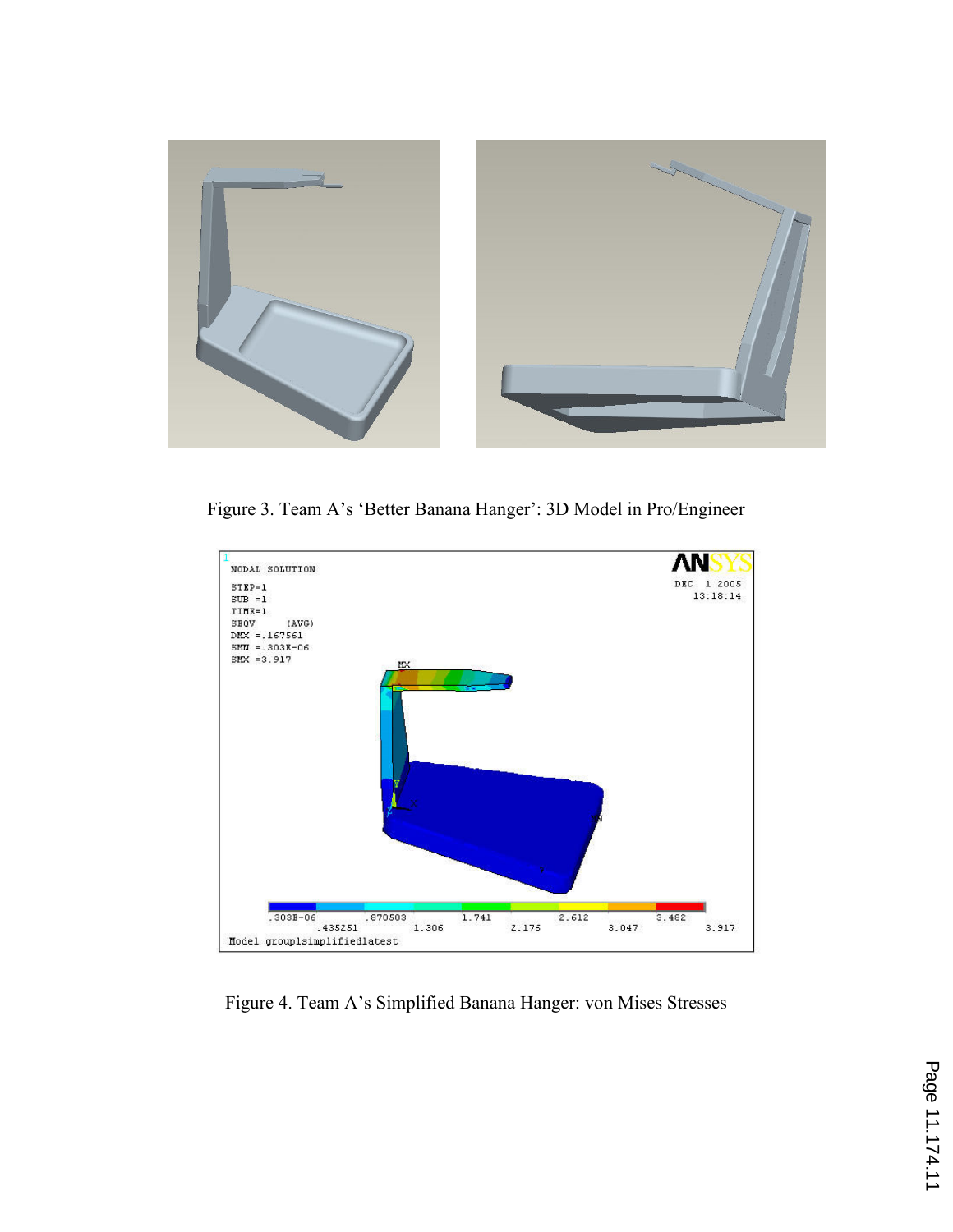

Figure 3. Team A's 'Better Banana Hanger': 3D Model in Pro/Engineer



Figure 4. Team A's Simplified Banana Hanger: von Mises Stresses